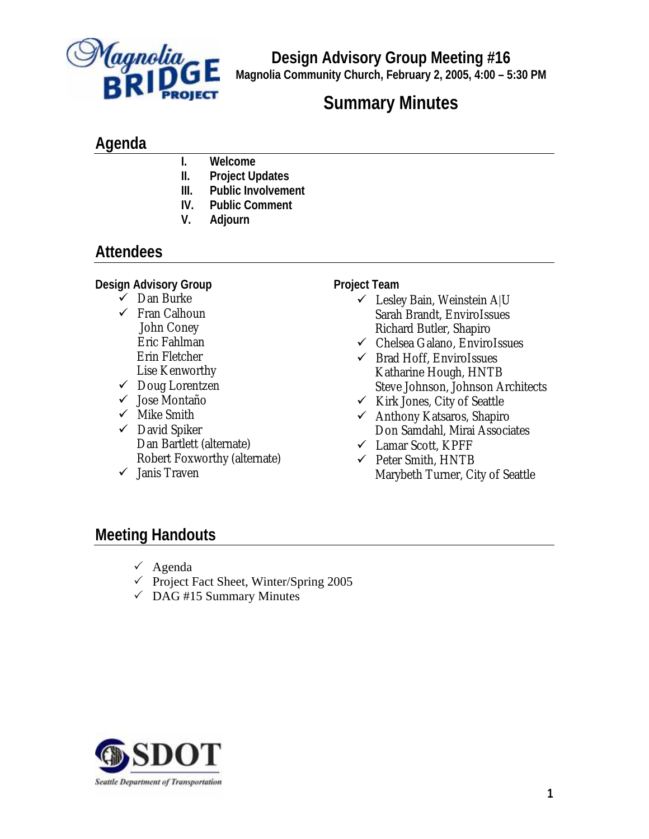

**Design Advisory Group Meeting #16 Magnolia Community Church, February 2, 2005, 4:00 – 5:30 PM**

# **Summary Minutes**

## **Agenda**

- **I. Welcome**
- **II. Project Updates**
- **III. Public Involvement**
- **IV. Public Comment**
- **V. Adjourn**

# **Attendees**

### **Design Advisory Group**

- $\checkmark$  Dan Burke
- $\checkmark$  Fran Calhoun John Coney Eric Fahlman Erin Fletcher Lise Kenworthy
- $\checkmark$  Doug Lorentzen
- $\checkmark$  Jose Montaño
- $\checkmark$  Mike Smith
- $\checkmark$  David Spiker Dan Bartlett (alternate) Robert Foxworthy (alternate)
- $\checkmark$  Janis Traven

#### **Project Team**

- $\checkmark$  Lesley Bain, Weinstein A|U Sarah Brandt, EnviroIssues Richard Butler, Shapiro
- $\checkmark$  Chelsea Galano, EnviroIssues
- $\checkmark$  Brad Hoff, EnviroIssues Katharine Hough, HNTB Steve Johnson, Johnson Architects
- $\checkmark$  Kirk Jones, City of Seattle
- $\checkmark$  Anthony Katsaros, Shapiro Don Samdahl, Mirai Associates
- $\checkmark$  Lamar Scott, KPFF
- $\checkmark$  Peter Smith, HNTB Marybeth Turner, City of Seattle

# **Meeting Handouts**

- $\checkmark$  Agenda
- $\checkmark$  Project Fact Sheet, Winter/Spring 2005
- $\checkmark$  DAG #15 Summary Minutes

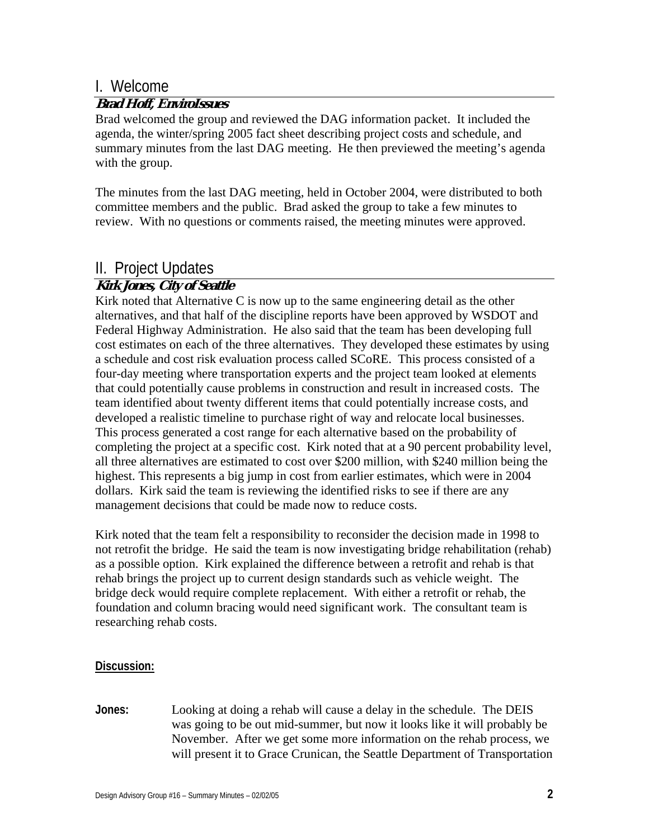### I. Welcome

#### **Brad Hoff, EnviroIssues**

Brad welcomed the group and reviewed the DAG information packet. It included the agenda, the winter/spring 2005 fact sheet describing project costs and schedule, and summary minutes from the last DAG meeting. He then previewed the meeting's agenda with the group.

The minutes from the last DAG meeting, held in October 2004, were distributed to both committee members and the public. Brad asked the group to take a few minutes to review. With no questions or comments raised, the meeting minutes were approved.

### II. Project Updates

### **Kirk Jones, City of Seattle**

Kirk noted that Alternative C is now up to the same engineering detail as the other alternatives, and that half of the discipline reports have been approved by WSDOT and Federal Highway Administration. He also said that the team has been developing full cost estimates on each of the three alternatives. They developed these estimates by using a schedule and cost risk evaluation process called SCoRE. This process consisted of a four-day meeting where transportation experts and the project team looked at elements that could potentially cause problems in construction and result in increased costs. The team identified about twenty different items that could potentially increase costs, and developed a realistic timeline to purchase right of way and relocate local businesses. This process generated a cost range for each alternative based on the probability of completing the project at a specific cost. Kirk noted that at a 90 percent probability level, all three alternatives are estimated to cost over \$200 million, with \$240 million being the highest. This represents a big jump in cost from earlier estimates, which were in 2004 dollars. Kirk said the team is reviewing the identified risks to see if there are any management decisions that could be made now to reduce costs.

Kirk noted that the team felt a responsibility to reconsider the decision made in 1998 to not retrofit the bridge. He said the team is now investigating bridge rehabilitation (rehab) as a possible option. Kirk explained the difference between a retrofit and rehab is that rehab brings the project up to current design standards such as vehicle weight. The bridge deck would require complete replacement. With either a retrofit or rehab, the foundation and column bracing would need significant work. The consultant team is researching rehab costs.

#### **Discussion:**

**Jones:** Looking at doing a rehab will cause a delay in the schedule. The DEIS was going to be out mid-summer, but now it looks like it will probably be November. After we get some more information on the rehab process, we will present it to Grace Crunican, the Seattle Department of Transportation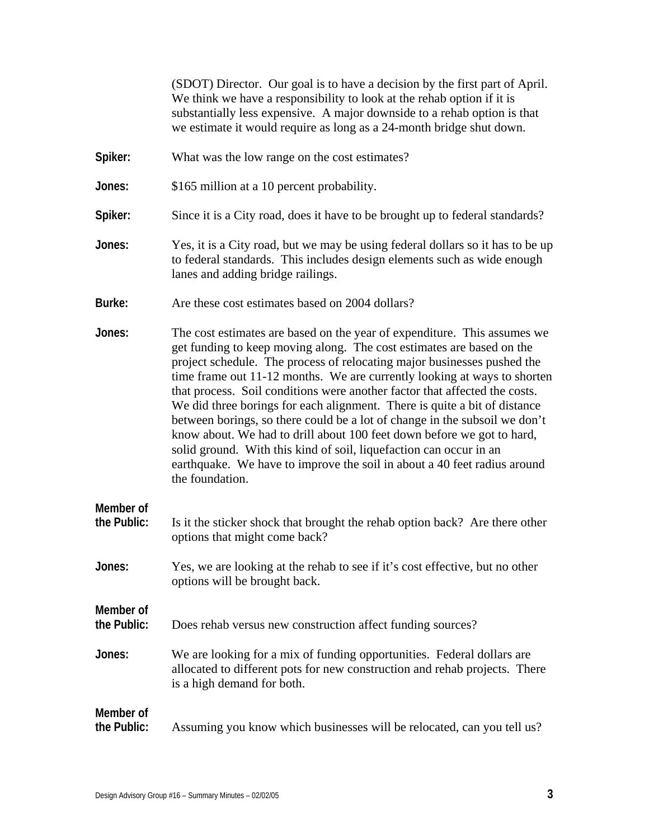(SDOT) Director. Our goal is to have a decision by the first part of April. We think we have a responsibility to look at the rehab option if it is substantially less expensive. A major downside to a rehab option is that we estimate it would require as long as a 24-month bridge shut down.

- **Spiker:** What was the low range on the cost estimates?
- **Jones:** \$165 million at a 10 percent probability.
- Spiker: Since it is a City road, does it have to be brought up to federal standards?
- **Jones:** Yes, it is a City road, but we may be using federal dollars so it has to be up to federal standards. This includes design elements such as wide enough lanes and adding bridge railings.
- **Burke:** Are these cost estimates based on 2004 dollars?
- **Jones:** The cost estimates are based on the year of expenditure. This assumes we get funding to keep moving along. The cost estimates are based on the project schedule. The process of relocating major businesses pushed the time frame out 11-12 months. We are currently looking at ways to shorten that process. Soil conditions were another factor that affected the costs. We did three borings for each alignment. There is quite a bit of distance between borings, so there could be a lot of change in the subsoil we don't know about. We had to drill about 100 feet down before we got to hard, solid ground. With this kind of soil, liquefaction can occur in an earthquake. We have to improve the soil in about a 40 feet radius around the foundation.
- **Member of the Public:** Is it the sticker shock that brought the rehab option back? Are there other options that might come back?
- **Jones:** Yes, we are looking at the rehab to see if it's cost effective, but no other options will be brought back.
- **the Public:** Does rehab versus new construction affect funding sources?
- **Jones:** We are looking for a mix of funding opportunities. Federal dollars are allocated to different pots for new construction and rehab projects. There is a high demand for both.

# **Member of the Public:** Assuming you know which businesses will be relocated, can you tell us?

**Member of**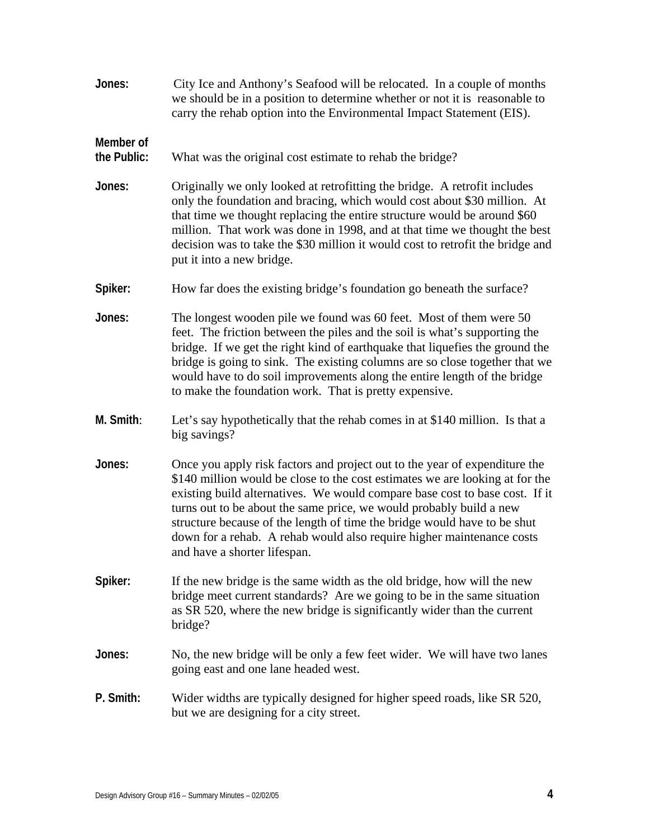| Jones:                   | City Ice and Anthony's Seafood will be relocated. In a couple of months<br>we should be in a position to determine whether or not it is reasonable to<br>carry the rehab option into the Environmental Impact Statement (EIS).                                                                                                                                                                                                                                                                        |
|--------------------------|-------------------------------------------------------------------------------------------------------------------------------------------------------------------------------------------------------------------------------------------------------------------------------------------------------------------------------------------------------------------------------------------------------------------------------------------------------------------------------------------------------|
| Member of<br>the Public: | What was the original cost estimate to rehab the bridge?                                                                                                                                                                                                                                                                                                                                                                                                                                              |
| Jones:                   | Originally we only looked at retrofitting the bridge. A retrofit includes<br>only the foundation and bracing, which would cost about \$30 million. At<br>that time we thought replacing the entire structure would be around \$60<br>million. That work was done in 1998, and at that time we thought the best<br>decision was to take the \$30 million it would cost to retrofit the bridge and<br>put it into a new bridge.                                                                         |
| Spiker:                  | How far does the existing bridge's foundation go beneath the surface?                                                                                                                                                                                                                                                                                                                                                                                                                                 |
| Jones:                   | The longest wooden pile we found was 60 feet. Most of them were 50<br>feet. The friction between the piles and the soil is what's supporting the<br>bridge. If we get the right kind of earthquake that liquefies the ground the<br>bridge is going to sink. The existing columns are so close together that we<br>would have to do soil improvements along the entire length of the bridge<br>to make the foundation work. That is pretty expensive.                                                 |
| M. Smith:                | Let's say hypothetically that the rehab comes in at \$140 million. Is that a<br>big savings?                                                                                                                                                                                                                                                                                                                                                                                                          |
| Jones:                   | Once you apply risk factors and project out to the year of expenditure the<br>\$140 million would be close to the cost estimates we are looking at for the<br>existing build alternatives. We would compare base cost to base cost. If it<br>turns out to be about the same price, we would probably build a new<br>structure because of the length of time the bridge would have to be shut<br>down for a rehab. A rehab would also require higher maintenance costs<br>and have a shorter lifespan. |
| Spiker:                  | If the new bridge is the same width as the old bridge, how will the new<br>bridge meet current standards? Are we going to be in the same situation<br>as SR 520, where the new bridge is significantly wider than the current<br>bridge?                                                                                                                                                                                                                                                              |
| Jones:                   | No, the new bridge will be only a few feet wider. We will have two lanes<br>going east and one lane headed west.                                                                                                                                                                                                                                                                                                                                                                                      |
| P. Smith:                | Wider widths are typically designed for higher speed roads, like SR 520,<br>but we are designing for a city street.                                                                                                                                                                                                                                                                                                                                                                                   |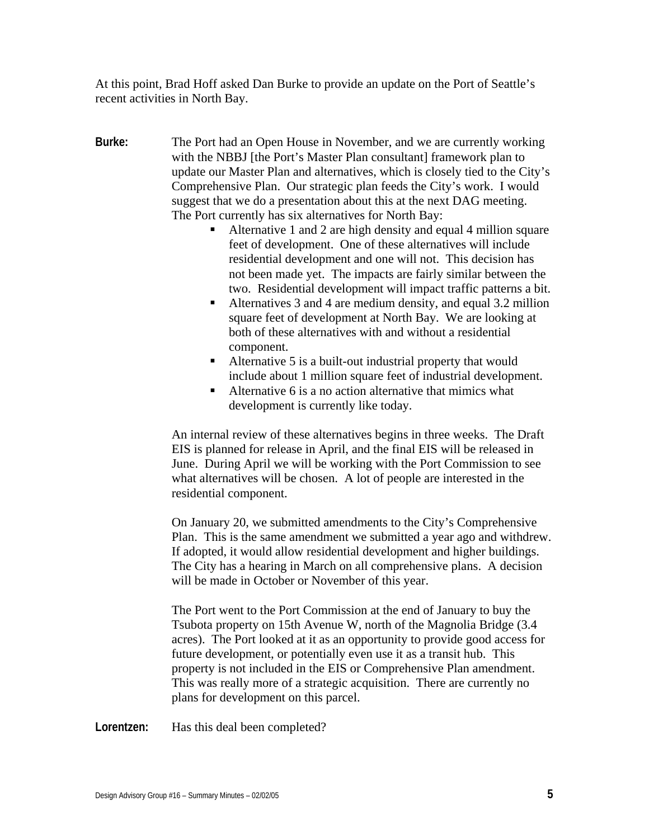At this point, Brad Hoff asked Dan Burke to provide an update on the Port of Seattle's recent activities in North Bay.

- **Burke:** The Port had an Open House in November, and we are currently working with the NBBJ [the Port's Master Plan consultant] framework plan to update our Master Plan and alternatives, which is closely tied to the City's Comprehensive Plan. Our strategic plan feeds the City's work. I would suggest that we do a presentation about this at the next DAG meeting. The Port currently has six alternatives for North Bay:
	- Alternative 1 and 2 are high density and equal 4 million square feet of development. One of these alternatives will include residential development and one will not. This decision has not been made yet. The impacts are fairly similar between the two. Residential development will impact traffic patterns a bit.
	- Alternatives 3 and 4 are medium density, and equal 3.2 million square feet of development at North Bay. We are looking at both of these alternatives with and without a residential component.
	- Alternative 5 is a built-out industrial property that would include about 1 million square feet of industrial development.
	- Alternative  $6$  is a no action alternative that mimics what development is currently like today.

An internal review of these alternatives begins in three weeks. The Draft EIS is planned for release in April, and the final EIS will be released in June. During April we will be working with the Port Commission to see what alternatives will be chosen. A lot of people are interested in the residential component.

On January 20, we submitted amendments to the City's Comprehensive Plan. This is the same amendment we submitted a year ago and withdrew. If adopted, it would allow residential development and higher buildings. The City has a hearing in March on all comprehensive plans. A decision will be made in October or November of this year.

The Port went to the Port Commission at the end of January to buy the Tsubota property on 15th Avenue W, north of the Magnolia Bridge (3.4 acres). The Port looked at it as an opportunity to provide good access for future development, or potentially even use it as a transit hub. This property is not included in the EIS or Comprehensive Plan amendment. This was really more of a strategic acquisition. There are currently no plans for development on this parcel.

Lorentzen: Has this deal been completed?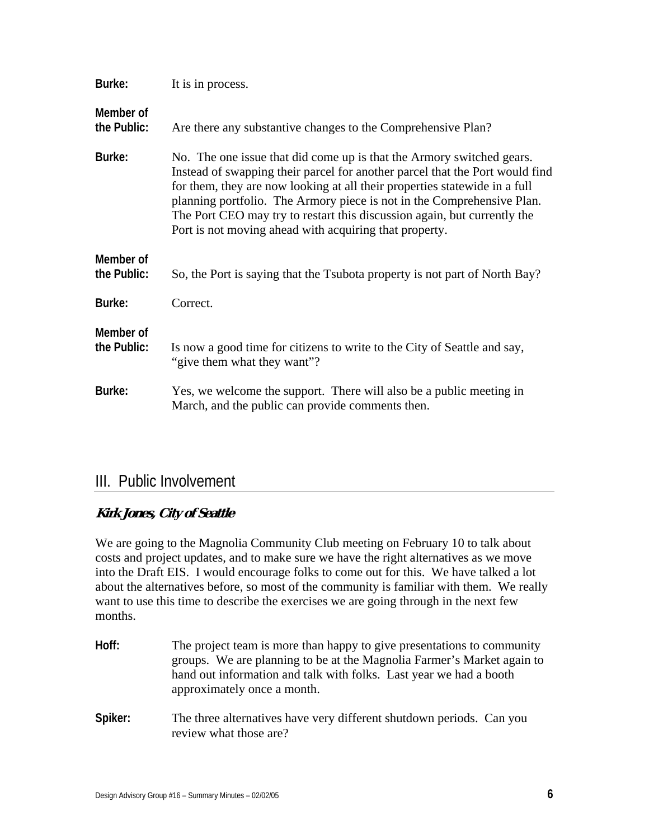| Burke:                   | It is in process.                                                                                                                                                                                                                                                                                                                                                                                                                                   |
|--------------------------|-----------------------------------------------------------------------------------------------------------------------------------------------------------------------------------------------------------------------------------------------------------------------------------------------------------------------------------------------------------------------------------------------------------------------------------------------------|
| Member of<br>the Public: | Are there any substantive changes to the Comprehensive Plan?                                                                                                                                                                                                                                                                                                                                                                                        |
| Burke:                   | No. The one issue that did come up is that the Armory switched gears.<br>Instead of swapping their parcel for another parcel that the Port would find<br>for them, they are now looking at all their properties statewide in a full<br>planning portfolio. The Armory piece is not in the Comprehensive Plan.<br>The Port CEO may try to restart this discussion again, but currently the<br>Port is not moving ahead with acquiring that property. |
| Member of<br>the Public: | So, the Port is saying that the Tsubota property is not part of North Bay?                                                                                                                                                                                                                                                                                                                                                                          |
| Burke:                   | Correct.                                                                                                                                                                                                                                                                                                                                                                                                                                            |
| Member of<br>the Public: | Is now a good time for citizens to write to the City of Seattle and say,<br>"give them what they want"?                                                                                                                                                                                                                                                                                                                                             |
| Burke:                   | Yes, we welcome the support. There will also be a public meeting in<br>March, and the public can provide comments then.                                                                                                                                                                                                                                                                                                                             |

### III. Public Involvement

### **Kirk Jones, City of Seattle**

We are going to the Magnolia Community Club meeting on February 10 to talk about costs and project updates, and to make sure we have the right alternatives as we move into the Draft EIS. I would encourage folks to come out for this. We have talked a lot about the alternatives before, so most of the community is familiar with them. We really want to use this time to describe the exercises we are going through in the next few months.

- **Hoff:** The project team is more than happy to give presentations to community groups. We are planning to be at the Magnolia Farmer's Market again to hand out information and talk with folks. Last year we had a booth approximately once a month. **Spiker:** The three alternatives have very different shutdown periods. Can you
- review what those are?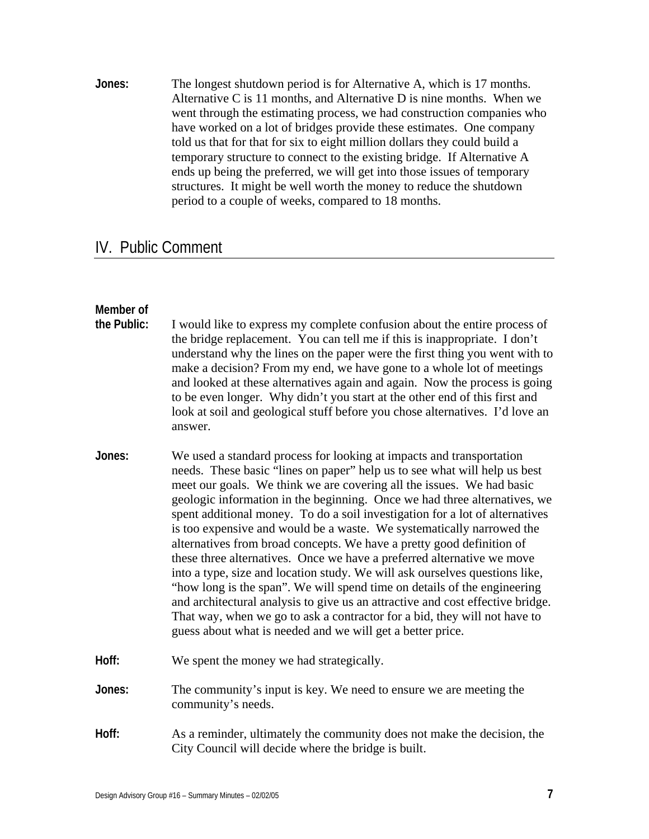**Jones:** The longest shutdown period is for Alternative A, which is 17 months. Alternative C is 11 months, and Alternative D is nine months. When we went through the estimating process, we had construction companies who have worked on a lot of bridges provide these estimates. One company told us that for that for six to eight million dollars they could build a temporary structure to connect to the existing bridge. If Alternative A ends up being the preferred, we will get into those issues of temporary structures. It might be well worth the money to reduce the shutdown period to a couple of weeks, compared to 18 months.

### IV. Public Comment

#### **Member of**

| the Public: | I would like to express my complete confusion about the entire process of<br>the bridge replacement. You can tell me if this is inappropriate. I don't<br>understand why the lines on the paper were the first thing you went with to<br>make a decision? From my end, we have gone to a whole lot of meetings<br>and looked at these alternatives again and again. Now the process is going<br>to be even longer. Why didn't you start at the other end of this first and<br>look at soil and geological stuff before you chose alternatives. I'd love an<br>answer.                                                                                                                                                                                                                                                                                                                                                                                                                                       |
|-------------|-------------------------------------------------------------------------------------------------------------------------------------------------------------------------------------------------------------------------------------------------------------------------------------------------------------------------------------------------------------------------------------------------------------------------------------------------------------------------------------------------------------------------------------------------------------------------------------------------------------------------------------------------------------------------------------------------------------------------------------------------------------------------------------------------------------------------------------------------------------------------------------------------------------------------------------------------------------------------------------------------------------|
| Jones:      | We used a standard process for looking at impacts and transportation<br>needs. These basic "lines on paper" help us to see what will help us best<br>meet our goals. We think we are covering all the issues. We had basic<br>geologic information in the beginning. Once we had three alternatives, we<br>spent additional money. To do a soil investigation for a lot of alternatives<br>is too expensive and would be a waste. We systematically narrowed the<br>alternatives from broad concepts. We have a pretty good definition of<br>these three alternatives. Once we have a preferred alternative we move<br>into a type, size and location study. We will ask ourselves questions like,<br>"how long is the span". We will spend time on details of the engineering<br>and architectural analysis to give us an attractive and cost effective bridge.<br>That way, when we go to ask a contractor for a bid, they will not have to<br>guess about what is needed and we will get a better price. |
| Hoff:       | We spent the money we had strategically.                                                                                                                                                                                                                                                                                                                                                                                                                                                                                                                                                                                                                                                                                                                                                                                                                                                                                                                                                                    |
| Jones:      | The community's input is key. We need to ensure we are meeting the<br>community's needs.                                                                                                                                                                                                                                                                                                                                                                                                                                                                                                                                                                                                                                                                                                                                                                                                                                                                                                                    |
| Hoff:       | As a reminder, ultimately the community does not make the decision, the<br>City Council will decide where the bridge is built.                                                                                                                                                                                                                                                                                                                                                                                                                                                                                                                                                                                                                                                                                                                                                                                                                                                                              |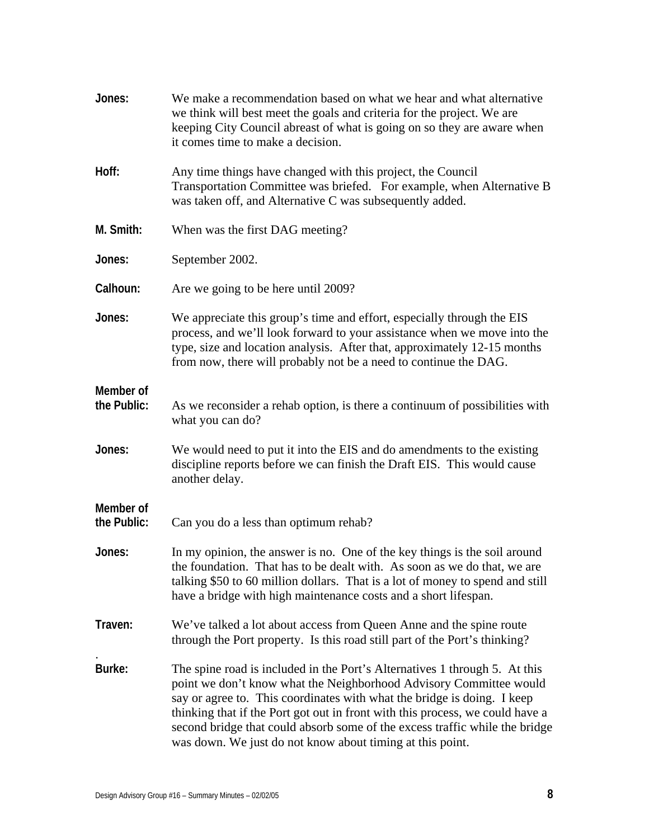| Jones:                   | We make a recommendation based on what we hear and what alternative<br>we think will best meet the goals and criteria for the project. We are<br>keeping City Council abreast of what is going on so they are aware when<br>it comes time to make a decision.                                                                                                                                                                                            |
|--------------------------|----------------------------------------------------------------------------------------------------------------------------------------------------------------------------------------------------------------------------------------------------------------------------------------------------------------------------------------------------------------------------------------------------------------------------------------------------------|
| Hoff:                    | Any time things have changed with this project, the Council<br>Transportation Committee was briefed. For example, when Alternative B<br>was taken off, and Alternative C was subsequently added.                                                                                                                                                                                                                                                         |
| M. Smith:                | When was the first DAG meeting?                                                                                                                                                                                                                                                                                                                                                                                                                          |
| Jones:                   | September 2002.                                                                                                                                                                                                                                                                                                                                                                                                                                          |
| Calhoun:                 | Are we going to be here until 2009?                                                                                                                                                                                                                                                                                                                                                                                                                      |
| Jones:                   | We appreciate this group's time and effort, especially through the EIS<br>process, and we'll look forward to your assistance when we move into the<br>type, size and location analysis. After that, approximately 12-15 months<br>from now, there will probably not be a need to continue the DAG.                                                                                                                                                       |
| Member of<br>the Public: | As we reconsider a rehab option, is there a continuum of possibilities with<br>what you can do?                                                                                                                                                                                                                                                                                                                                                          |
| Jones:                   | We would need to put it into the EIS and do amendments to the existing<br>discipline reports before we can finish the Draft EIS. This would cause<br>another delay.                                                                                                                                                                                                                                                                                      |
| Member of<br>the Public: | Can you do a less than optimum rehab?                                                                                                                                                                                                                                                                                                                                                                                                                    |
| Jones:                   | In my opinion, the answer is no. One of the key things is the soil around<br>the foundation. That has to be dealt with. As soon as we do that, we are<br>talking \$50 to 60 million dollars. That is a lot of money to spend and still<br>have a bridge with high maintenance costs and a short lifespan.                                                                                                                                                |
| Traven:                  | We've talked a lot about access from Queen Anne and the spine route<br>through the Port property. Is this road still part of the Port's thinking?                                                                                                                                                                                                                                                                                                        |
| Burke:                   | The spine road is included in the Port's Alternatives 1 through 5. At this<br>point we don't know what the Neighborhood Advisory Committee would<br>say or agree to. This coordinates with what the bridge is doing. I keep<br>thinking that if the Port got out in front with this process, we could have a<br>second bridge that could absorb some of the excess traffic while the bridge<br>was down. We just do not know about timing at this point. |